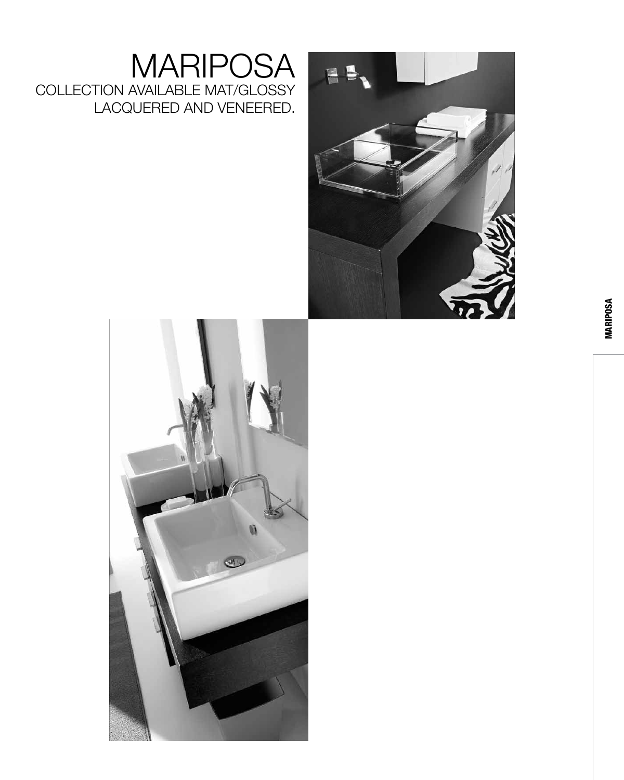#### MARIPOSA COLLECTION AVAILABLE MAT/GLOSSY LACQUERED AND VENEERED.



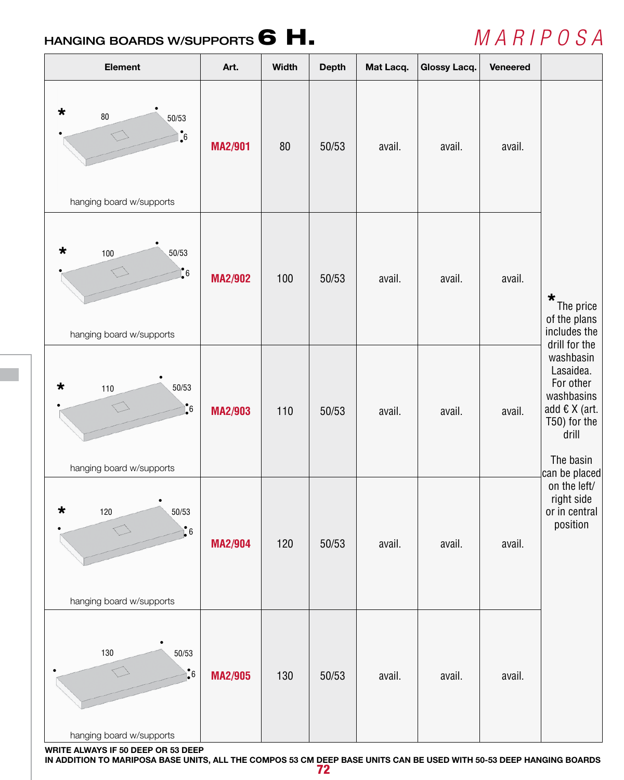### HANGING BOARDS W/SUPPORTS 6 H.

# *M A R I P O S A*

| <b>Element</b>                                                               | Art.           | <b>Width</b> | <b>Depth</b> | Mat Lacq. | <b>Glossy Lacq.</b> | <b>Veneered</b> |                                                                                                                                                                 |
|------------------------------------------------------------------------------|----------------|--------------|--------------|-----------|---------------------|-----------------|-----------------------------------------------------------------------------------------------------------------------------------------------------------------|
| $\star$<br>$80\,$<br>50/53<br>$\ddot{\bullet}$<br>hanging board w/supports   | <b>MA2/901</b> | 80           | 50/53        | avail.    | avail.              | avail.          |                                                                                                                                                                 |
| $\star$<br>50/53<br>100<br>$\cdot \cdot$<br>hanging board w/supports         | <b>MA2/902</b> | 100          | 50/53        | avail.    | avail.              | avail.          | $\star$<br>The price<br>of the plans<br>includes the                                                                                                            |
| $\star$<br>50/53<br>110<br>$\cdot \cdot$<br>hanging board w/supports         | <b>MA2/903</b> | 110          | 50/53        | avail.    | avail.              | avail.          | drill for the<br>washbasin<br>Lasaidea.<br>For other<br>washbasins<br>add $\epsilon$ X (art.<br>T50) for the<br>drill<br>The basin<br>$ {\rm can\ be\ placed} $ |
| $\star$<br>120<br>50/53<br>$\int_{0}^{\infty} 6$<br>hanging board w/supports | <b>MA2/904</b> | 120          | 50/53        | avail.    | avail.              | avail.          | on the left/<br>right side<br>or in central<br>position                                                                                                         |
| 130<br>50/53<br>$\frac{1}{2}6$<br>hanging board w/supports                   | <b>MA2/905</b> | 130          | 50/53        | avail.    | avail.              | avail.          |                                                                                                                                                                 |

**WRITE ALWAYS IF 50 DEEP OR 53 DEEP IN ADDITION TO MARIPOSA BASE UNITS, ALL THE COMPOS 53 CM DEEP BASE UNITS CAN BE USED WITH 50-53 DEEP HANGING BOARDS**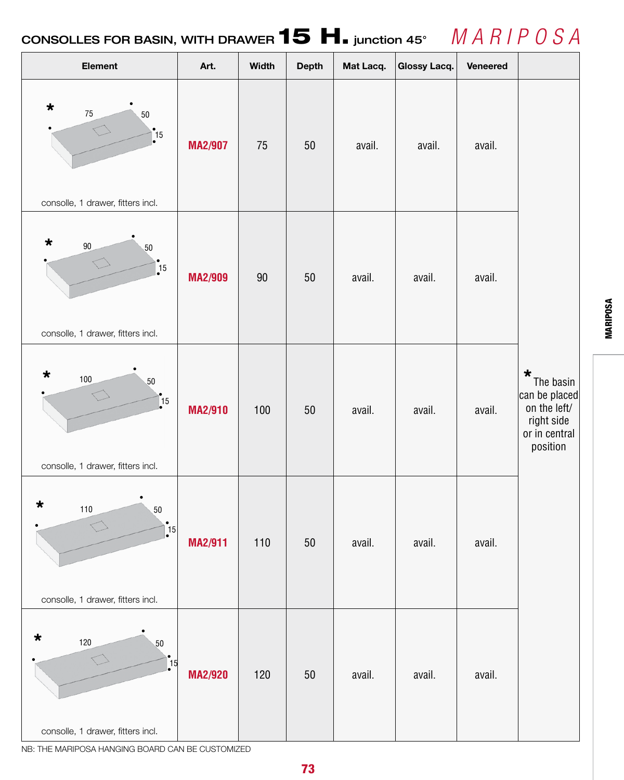### CONSOLLES FOR BASIN, WITH DRAWER  $\textbf{15 H.}$  junction 45°  $\parallel$   $\parallel$   $A$   $R$  /  $P$   $O$   $S$   $A$



NB: THE MARIPOSA HANGING BOARD CAN BE CUSTOMIZED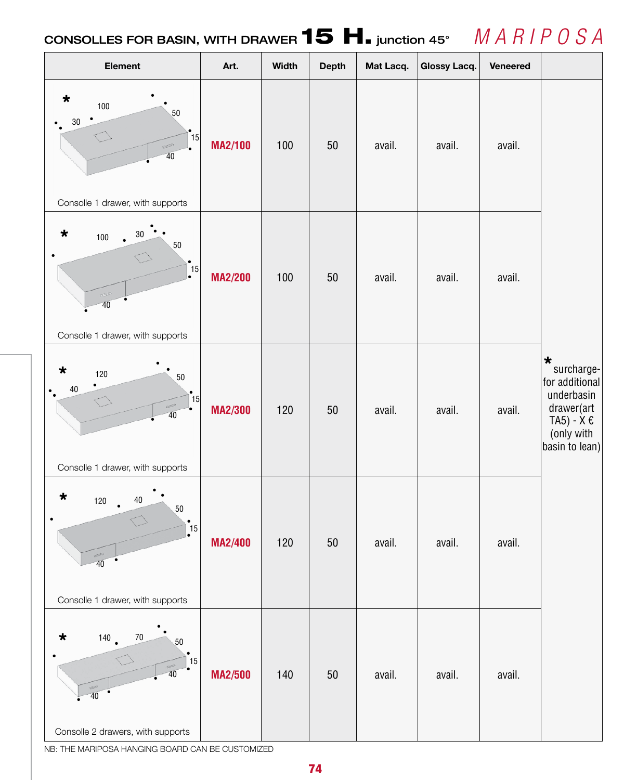### CONSOLLES FOR BASIN, WITH DRAWER  $\textbf{15 H.}$  junction 45°  $\parallel$   $\parallel$   $A$   $R$  /  $P$   $O$   $S$   $A$



NB: THE MARIPOSA HANGING BOARD CAN BE CUSTOMIZED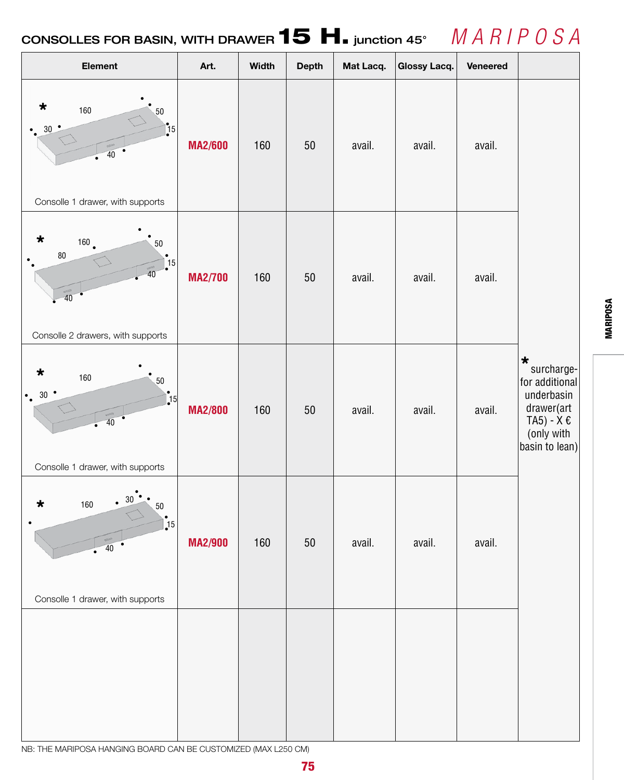### CONSOLLES FOR BASIN, WITH DRAWER  $\textbf{15 H.}$  junction 45°  $\parallel$   $\parallel$   $A$   $R$  /  $P$   $O$   $S$   $A$



NB: THE MARIPOSA HANGING BOARD CAN BE CUSTOMIZED (MAx L250 CM)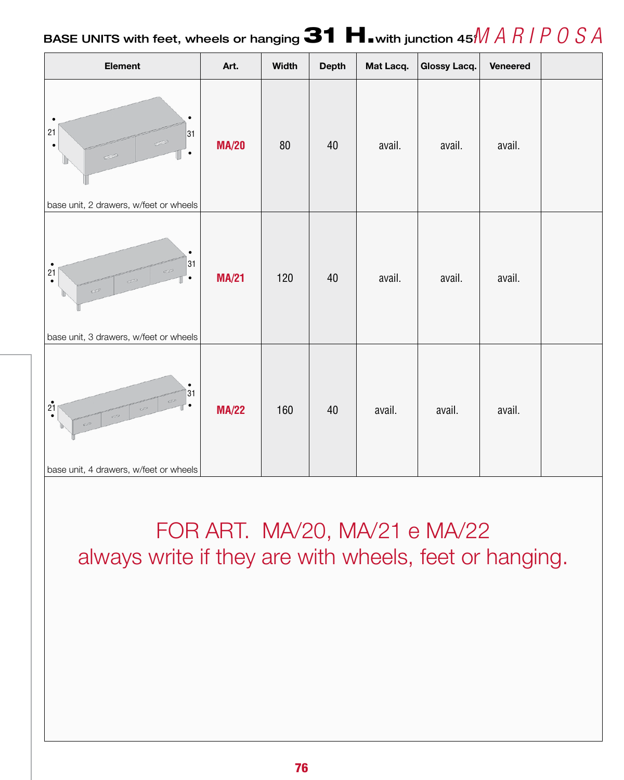#### BASE UNITS with feet, wheels or hanging  $\mathbf{31 H}$  with junction 45 $M$  *A*  $R$  *I*  $P$   $O$   $S$   $A$

| Element                                                                                                                                       | Art.         | <b>Width</b> | <b>Depth</b> | Mat Lacq. | <b>Glossy Lacq.</b> | Veneered |  |
|-----------------------------------------------------------------------------------------------------------------------------------------------|--------------|--------------|--------------|-----------|---------------------|----------|--|
| $\bullet$<br>$\bullet$<br>21<br>31<br>$\bullet$<br>$\bullet$<br>$\qquad \qquad \Longleftrightarrow$<br>base unit, 2 drawers, w/feet or wheels | <b>MA/20</b> | $80\,$       | 40           | avail.    | avail.              | avail.   |  |
| $\bullet$<br>31<br>$\bullet$<br>$\mathbb{R}^3$<br>21<br>$\bullet$<br>C <sup>2</sup><br>$\bullet$<br>base unit, 3 drawers, w/feet or wheels    | <b>MA/21</b> | 120          | 40           | avail.    | avail.              | avail.   |  |
| $\bullet$<br> 31<br>$C^{\leq D}$<br>2 <sup>1</sup><br>base unit, 4 drawers, w/feet or wheels                                                  | <b>MA/22</b> | 160          | 40           | avail.    | avail.              | avail.   |  |

FOR ART. MA/20, MA/21 e MA/22 always write if they are with wheels, feet or hanging.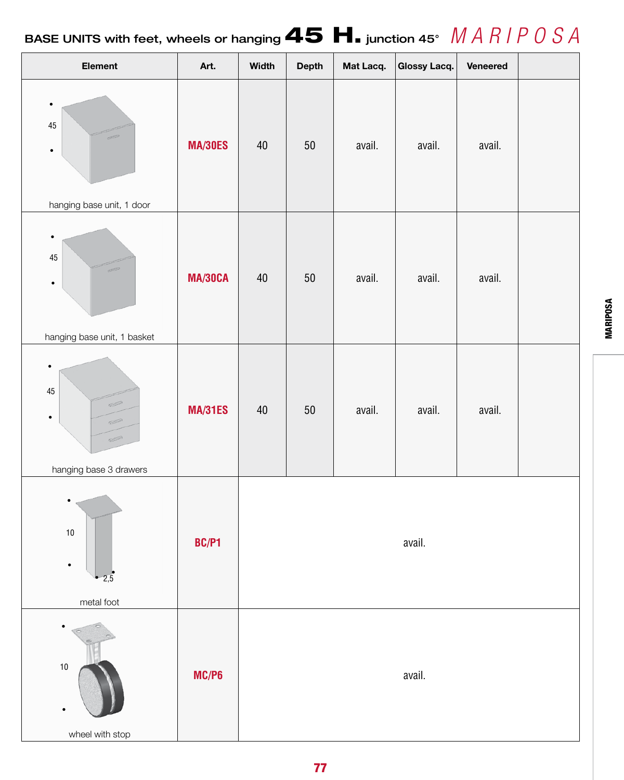# BASE UNITS with feet, wheels or hanging 45 H. junction 45° *M A R I P O S A*

| Element                                                                                                                                                                                                                                                                                                                                                                                                                                                                                                                                                                                                                                                                                                                                                                                                         | Art.           | Width  | <b>Depth</b> | Mat Lacq. | Glossy Lacq. | Veneered |  |  |  |
|-----------------------------------------------------------------------------------------------------------------------------------------------------------------------------------------------------------------------------------------------------------------------------------------------------------------------------------------------------------------------------------------------------------------------------------------------------------------------------------------------------------------------------------------------------------------------------------------------------------------------------------------------------------------------------------------------------------------------------------------------------------------------------------------------------------------|----------------|--------|--------------|-----------|--------------|----------|--|--|--|
| $\bullet$<br>$45\,$<br>RESERVE<br>$\bullet$<br>hanging base unit, 1 door                                                                                                                                                                                                                                                                                                                                                                                                                                                                                                                                                                                                                                                                                                                                        | <b>MA/30ES</b> | 40     | $50\,$       | avail.    | avail.       | avail.   |  |  |  |
| $\bullet$<br>$45\,$<br>200<br>$\bullet$<br>hanging base unit, 1 basket                                                                                                                                                                                                                                                                                                                                                                                                                                                                                                                                                                                                                                                                                                                                          | <b>MA/30CA</b> | $40\,$ | $50\,$       | avail.    | avail.       | avail.   |  |  |  |
| $\bullet$<br>$45\,$<br>$\begin{picture}(20,20) \put(0,0){\line(1,0){10}} \put(15,0){\line(1,0){10}} \put(15,0){\line(1,0){10}} \put(15,0){\line(1,0){10}} \put(15,0){\line(1,0){10}} \put(15,0){\line(1,0){10}} \put(15,0){\line(1,0){10}} \put(15,0){\line(1,0){10}} \put(15,0){\line(1,0){10}} \put(15,0){\line(1,0){10}} \put(15,0){\line(1,0){10}} \put(15,0){\line(1$<br>$\bullet$<br>$\begin{picture}(20,20) \put(0,0){\line(1,0){10}} \put(15,0){\line(1,0){10}} \put(15,0){\line(1,0){10}} \put(15,0){\line(1,0){10}} \put(15,0){\line(1,0){10}} \put(15,0){\line(1,0){10}} \put(15,0){\line(1,0){10}} \put(15,0){\line(1,0){10}} \put(15,0){\line(1,0){10}} \put(15,0){\line(1,0){10}} \put(15,0){\line(1,0){10}} \put(15,0){\line(1$<br>$\qquad \qquad \Longleftrightarrow$<br>hanging base 3 drawers | <b>MA/31ES</b> | $40\,$ | $50\,$       | avail.    | avail.       | avail.   |  |  |  |
| $\bullet$<br>$10$<br>$\bullet$<br>2,5<br>metal foot                                                                                                                                                                                                                                                                                                                                                                                                                                                                                                                                                                                                                                                                                                                                                             | BC/P1          | avail. |              |           |              |          |  |  |  |
| $10$<br>$\bullet$<br>wheel with stop                                                                                                                                                                                                                                                                                                                                                                                                                                                                                                                                                                                                                                                                                                                                                                            | MC/P6          | avail. |              |           |              |          |  |  |  |

**MARIPOSA** MARIPOSA